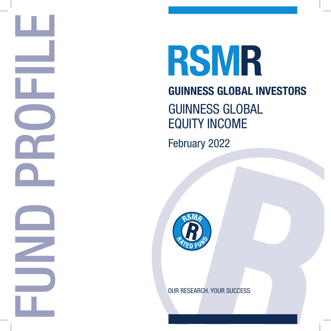FUND PROFILE

# RSMR

GUINNESS GLOBAL INVESTORS GUINNESS GLOBAL EQUITY INCOME

February 2022



OUR RESEARCH. YOUR SUCCESS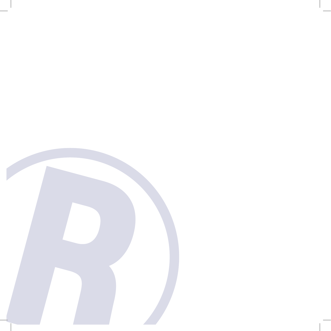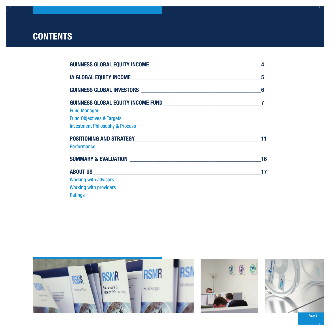## **CONTENTS**

|                                            | 4  |
|--------------------------------------------|----|
|                                            | 5  |
|                                            | 6  |
|                                            |    |
| <b>Fund Manager</b>                        |    |
| <b>Fund Objectives &amp; Targets</b>       |    |
| <b>Investment Philosophy &amp; Process</b> |    |
|                                            | 11 |
| <b>Performance</b>                         |    |
|                                            | 16 |
|                                            | 17 |
| <b>Working with advisers</b>               |    |
| <b>Working with providers</b>              |    |
| <b>Ratings</b>                             |    |



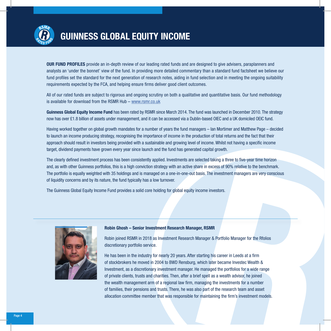

## GUINNESS GLOBAL EQUITY INCOME

OUR FUND PROFILES provide an in-depth review of our leading rated funds and are designed to give advisers, paraplanners and analysts an 'under the bonnet' view of the fund. In providing more detailed commentary than a standard fund factsheet we believe our fund profiles set the standard for the next generation of research notes, aiding in fund selection and in meeting the ongoing suitability requirements expected by the FCA, and helping ensure firms deliver good client outcomes.

All of our rated funds are subject to rigorous and ongoing scrutiny on both a qualitative and quantitative basis. Our fund methodology is available for download from the RSMR Hub – www.rsmr.co.uk

Guinness Global Equity Income Fund has been rated by RSMR since March 2014. The fund was launched in December 2010. The strategy now has over £1.8 billion of assets under management, and it can be accessed via a Dublin-based OIEC and a UK domiciled OEIC fund.

Having worked together on global growth mandates for a number of years the fund managers – Ian Mortimer and Matthew Page – decided to launch an income producing strategy, recognising the importance of income in the production of total returns and the fact that their approach should result in investors being provided with a sustainable and growing level of income. Whilst not having a specific income target, dividend payments have grown every year since launch and the fund has generated capital growth.

The clearly defined investment process has been consistently applied. Investments are selected taking a three to five-year time horizon and, as with other Guinness portfolios, this is a high conviction strategy with an active share in excess of 90% relative to the benchmark. The portfolio is equally weighted with 35 holdings and is managed on a one-in-one-out basis. The investment managers are very conscious of liquidity concerns and by its nature, the fund typically has a low turnover.

The Guinness Global Equity Income Fund provides a solid core holding for global equity income investors.



#### Robin Ghosh – Senior Investment Research Manager, RSMR

Robin joined RSMR in 2018 as Investment Research Manager & Portfolio Manager for the Rfolios discretionary portfolio service.

He has been in the industry for nearly 20 years. After starting his career in Leeds at a firm of stockbrokers he moved in 2004 to BWD Rensburg, which later became Investec Wealth & Investment, as a discretionary investment manager. He managed the portfolios for a wide range of private clients, trusts and charities. Then, after a brief spell as a wealth advisor, he joined the wealth management arm of a regional law firm, managing the investments for a number of families, their pensions and trusts. There, he was also part of the research team and asset allocation committee member that was responsible for maintaining the firm's investment models.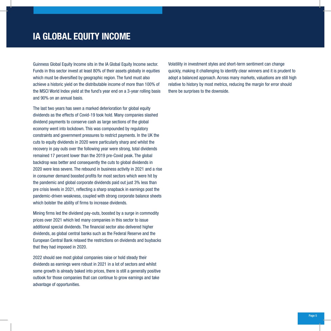Guinness Global Equity Income sits in the IA Global Equity Income sector. Funds in this sector invest at least 80% of their assets globally in equities which must be diversified by geographic region. The fund must also achieve a historic yield on the distributable income of more than 100% of the MSCI World Index yield at the fund's year end on a 3-year rolling basis and 90% on an annual basis.

The last two years has seen a marked deterioration for global equity dividends as the effects of Covid-19 took hold. Many companies slashed dividend payments to conserve cash as large sections of the global economy went into lockdown. This was compounded by regulatory constraints and government pressures to restrict payments. In the UK the cuts to equity dividends in 2020 were particularly sharp and whilst the recovery in pay outs over the following year were strong, total dividends remained 17 percent lower than the 2019 pre-Covid peak. The global backdrop was better and consequently the cuts to global dividends in 2020 were less severe. The rebound in business activity in 2021 and a rise in consumer demand boosted profits for most sectors which were hit by the pandemic and global corporate dividends paid out just 3% less than pre crisis levels in 2021, reflecting a sharp snapback in earnings post the pandemic-driven weakness, coupled with strong corporate balance sheets which bolster the ability of firms to increase dividends.

Mining firms led the dividend pay-outs, boosted by a surge in commodity prices over 2021 which led many companies in this sector to issue additional special dividends. The financial sector also delivered higher dividends, as global central banks such as the Federal Reserve and the European Central Bank relaxed the restrictions on dividends and buybacks that they had imposed in 2020.

2022 should see most global companies raise or hold steady their dividends as earnings were robust in 2021 in a lot of sectors and whilst some growth is already baked into prices, there is still a generally positive outlook for those companies that can continue to grow earnings and take advantage of opportunities.

Volatility in investment styles and short-term sentiment can change quickly, making it challenging to identify clear winners and it is prudent to adopt a balanced approach. Across many markets, valuations are still high relative to history by most metrics, reducing the margin for error should there be surprises to the downside.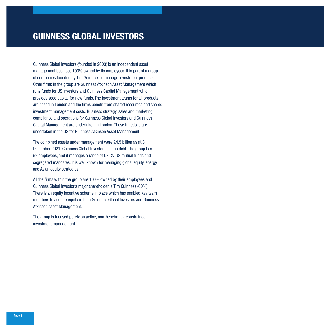## GUINNESS GLOBAL INVESTORS

Guinness Global Investors (founded in 2003) is an independent asset management business 100% owned by its employees. It is part of a group of companies founded by Tim Guinness to manage investment products. Other firms in the group are Guinness Atkinson Asset Management which runs funds for US investors and Guinness Capital Management which provides seed capital for new funds. The investment teams for all products are based in London and the firms benefit from shared resources and shared investment management costs. Business strategy, sales and marketing, compliance and operations for Guinness Global Investors and Guinness Capital Management are undertaken in London. These functions are undertaken in the US for Guinness Atkinson Asset Management.

The combined assets under management were £4.5 billion as at 31 December 2021. Guinness Global Investors has no debt. The group has 52 employees, and it manages a range of OEICs, US mutual funds and segregated mandates. It is well known for managing global equity, energy and Asian equity strategies.

All the firms within the group are 100% owned by their employees and Guinness Global Investor's major shareholder is Tim Guinness (60%). There is an equity incentive scheme in place which has enabled key team members to acquire equity in both Guinness Global Investors and Guinness Atkinson Asset Management.

The group is focused purely on active, non-benchmark constrained, investment management.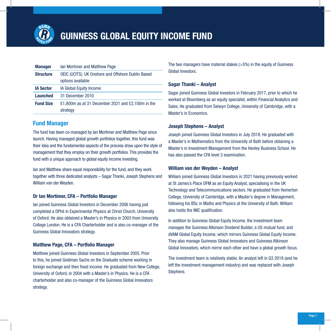

## GUINNESS GLOBAL EQUITY INCOME FUND

| <b>Manager</b>   | lan Mortimer and Matthew Page                                 |
|------------------|---------------------------------------------------------------|
| <b>Structure</b> | <b>OEIC (UCITS). UK Onshore and Offshore Dublin Based</b>     |
|                  | options available                                             |
| <b>IA Sector</b> | <b>IA Global Equity Income</b>                                |
| <b>Launched</b>  | 31 December 2010                                              |
| <b>Fund Size</b> | £1,800m as at 31 December 2021 and £2,100m in the<br>strategy |

#### **Fund Manager**

The fund has been co-managed by Ian Mortimer and Matthew Page since launch. Having managed global growth portfolios together, this fund was their idea and the fundamental aspects of the process draw upon the style of management that they employ on their growth portfolios. This provides the fund with a unique approach to global equity income investing.

Ian and Matthew share equal responsibility for the fund, and they work together with three dedicated analysts – Sagar Thanki, Joseph Stephens and William van der Weyden.

#### **Dr Ian Mortimer, CFA – Portfolio Manager**

Ian joined Guinness Global Investors in December 2006 having just completed a DPhil in Experimental Physics at Christ Church, University of Oxford. He also obtained a Master's in Physics in 2003 from University College London. He is a CFA Charterholder and is also co-manager of the Guinness Global Innovators strategy.

#### **Matthew Page, CFA – Portfolio Manager**

Matthew joined Guinness Global Investors in September 2005. Prior to this, he joined Goldman Sachs on the Graduate scheme working in foreign exchange and then fixed income. He graduated from New College, University of Oxford, in 2004 with a Master's in Physics. He is a CFA charterholder and also co-manager of the Guinness Global Innovators strategy.

The two managers have material stakes (>5%) in the equity of Guinness Global Investors.

#### **Sagar Thanki – Analyst**

Sagar joined Guinness Global Investors in February 2017, prior to which he worked at Bloomberg as an equity specialist, within Financial Analytics and Sales. He graduated from Selwyn College, University of Cambridge, with a Master's in Economics.

#### **Joseph Stephens – Analyst**

Joseph joined Guinness Global Investors in July 2018. He graduated with a Master's in Mathematics from the University of Bath before obtaining a Master's in Investment Management from the Henley Business School. He has also passed the CFA level 3 examination.

#### **William van der Weyden – Analyst**

William joined Guinness Global Investors in 2021 having previously worked at St James's Place DFM as an Equity Analyst, specialising in the UK Technology and Telecommunications sectors. He graduated from Homerton College, University of Cambridge, with a Master's degree in Management, following his BSc in Maths and Physics at the University of Bath. William also holds the IMC qualification.

In addition to Guinness Global Equity Income, the investment team manages the Guinness Atkinson Dividend Builder, a US mutual fund, and dVAM Global Equity Income, which mirrors Guinness Global Equity Income. They also manage Guinness Global Innovators and Guinness Atkinson Global Innovators, which mirror each other and have a global growth focus.

The investment team is relatively stable. An analyst left in Q3 2018 (and he left the investment management industry) and was replaced with Joseph Stephens.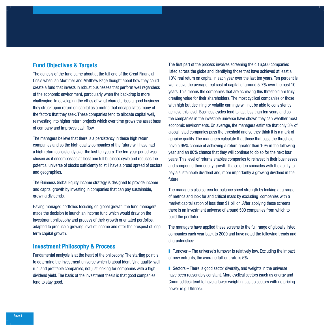#### Fund Objectives & Targets

The genesis of the fund came about at the tail end of the Great Financial Crisis when Ian Mortimer and Matthew Page thought about how they could create a fund that invests in robust businesses that perform well regardless of the economic environment, particularly when the backdrop is more challenging. In developing the ethos of what characterises a good business they struck upon return on capital as a metric that encapsulates many of the factors that they seek. These companies tend to allocate capital well, reinvesting into higher return projects which over time grows the asset base of company and improves cash flow.

The managers believe that there is a persistency in these high return companies and so the high quality companies of the future will have had a high return consistently over the last ten years. The ten-year period was chosen as it encompasses at least one full business cycle and reduces the potential universe of stocks sufficiently to still have a broad spread of sectors and geographies.

The Guinness Global Equity Income strategy is designed to provide income and capital growth by investing in companies that can pay sustainable, growing dividends.

Having managed portfolios focusing on global growth, the fund managers made the decision to launch an income fund which would draw on the investment philosophy and process of their growth orientated portfolios, adapted to produce a growing level of income and offer the prospect of long term capital growth.

#### **Investment Philosophy & Process**

Fundamental analysis is at the heart of the philosophy. The starting point is to determine the investment universe which is about identifying quality, well run, and profitable companies, not just looking for companies with a high dividend yield. The basis of the investment thesis is that good companies tend to stay good.

The first part of the process involves screening the c.16,500 companies listed across the globe and identifying those that have achieved at least a 10% real return on capital in each year over the last ten years. Ten percent is well above the average real cost of capital of around 5-7% over the past 10 years. This means the companies that are achieving this threshold are truly creating value for their shareholders. The most cyclical companies or those with high but declining or volatile earnings will not be able to consistently achieve this level. Business cycles tend to last less than ten years and so the companies in the investible universe have shown they can weather most economic environments. On average, the managers estimate that only 3% of global listed companies pass the threshold and so they think it is a mark of genuine quality. The managers calculate that those that pass the threshold have a 95% chance of achieving a return greater than 10% in the following year, and an 80% chance that they will continue to do so for the next four years. This level of returns enables companies to reinvest in their businesses and compound their equity growth. It also often coincides with the ability to pay a sustainable dividend and, more importantly a growing dividend in the future.

The managers also screen for balance sheet strength by looking at a range of metrics and look for and critical mass by excluding companies with a market capitalisation of less than \$1 billion. After applying these screens there is an investment universe of around 500 companies from which to build the portfolio.

The managers have applied these screens to the full range of globally listed companies each year back to 2000 and have noted the following trends and characteristics:

**Turnover – The universe's turnover is relatively low. Excluding the impact** of new entrants, the average fall-out rate is 5%

Sectors – There is good sector diversity, and weights in the universe have been reasonably constant. More cyclical sectors (such as energy and Commodities) tend to have a lower weighting, as do sectors with no pricing power (e.g. Utilities).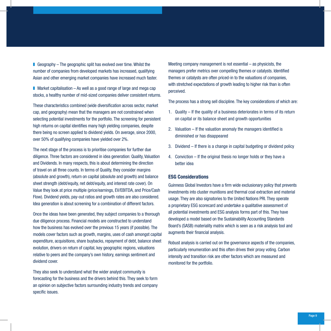Geography – The geographic split has evolved over time. Whilst the number of companies from developed markets has increased, qualifying Asian and other emerging market companies have increased much faster.

**Market capitalisation – As well as a good range of large and mega cap** stocks, a healthy number of mid-sized companies deliver consistent returns.

These characteristics combined (wide diversification across sector, market cap, and geography) mean that the managers are not constrained when selecting potential investments for the portfolio. The screening for persistent high returns on capital identifies many high yielding companies, despite there being no screen applied to dividend yields. On average, since 2000, over 50% of qualifying companies have yielded over 2%.

The next stage of the process is to prioritise companies for further due diligence. Three factors are considered in idea generation: Quality, Valuation and Dividends. In many respects, this is about determining the direction of travel on all three counts. In terms of Quality, they consider margins (absolute and growth), return on capital (absolute and growth) and balance sheet strength (debt/equity, net debt/equity, and interest rate cover). On Value they look at price multiple (price/earnings, EV/EBITDA, and Price/Cash Flow). Dividend yields, pay-out ratios and growth rates are also considered. Idea generation is about screening for a combination of different factors.

Once the ideas have been generated, they subject companies to a thorough due diligence process. Financial models are constructed to understand how the business has evolved over the previous 15 years (if possible). The models cover factors such as growth, margins, uses of cash amongst capital expenditure, acquisitions, share buybacks, repayment of debt, balance sheet evolution, drivers on return of capital, key geographic regions, valuations relative to peers and the company's own history, earnings sentiment and dividend cover.

They also seek to understand what the wider analyst community is forecasting for the business and the drivers behind this. They seek to form an opinion on subjective factors surrounding industry trends and company specific issues.

Meeting company management is not essential – as physicists, the managers prefer metrics over compelling themes or catalysts. Identified themes or catalysts are often priced-in to the valuations of companies, with stretched expectations of growth leading to higher risk than is often perceived.

The process has a strong sell discipline. The key considerations of which are:

- 1. Quality If the quality of a business deteriorates in terms of its return on capital or its balance sheet and growth opportunities
- 2. Valuation If the valuation anomaly the managers identified is diminished or has disappeared
- 3. Dividend If there is a change in capital budgeting or dividend policy
- 4. Conviction If the original thesis no longer holds or they have a better idea

#### **ESG Considerations**

Guinness Global Investors have a firm wide exclusionary policy that prevents investments into cluster munitions and thermal coal extraction and material usage. They are also signatories to the United Nations PRI. They operate a proprietary ESG scorecard and undertake a qualitative assessment of all potential investments and ESG analysis forms part of this. They have developed a model based on the Sustainability Accounting Standards Board's (SASB) materiality matrix which is seen as a risk analysis tool and augments their financial analysis.

Robust analysis is carried out on the governance aspects of the companies, particularly renumeration and this often drives their proxy voting. Carbon intensity and transition risk are other factors which are measured and monitored for the portfolio.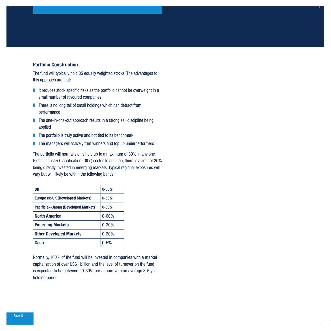#### **Portfolio Construction**

The fund will typically hold 35 equally weighted stocks. The advantages to this approach are that:

- $\blacksquare$  It reduces stock specific risks as the portfolio cannot be overweight in a small number of favoured companies
- $\blacksquare$  There is no long tail of small holdings which can detract from performance
- $\blacksquare$  The one-in-one-out approach results in a strong sell discipline being applied
- $\blacksquare$  The portfolio is truly active and not tied to its benchmark
- $\blacksquare$  The managers will actively trim winners and top up underperformers

The portfolio will normally only hold up to a maximum of 30% in any one Global Industry Classification (GICs) sector. In addition, there is a limit of 20% being directly invested in emerging markets. Typical regional exposures will vary but will likely be within the following bands:

| UК                                          | $0 - 30%$ |
|---------------------------------------------|-----------|
| <b>Europe ex-UK (Developed Markets)</b>     | $0 - 60%$ |
| <b>Pacific ex-Japan (Developed Markets)</b> | $0 - 30%$ |
| <b>North America</b>                        | $0 - 60%$ |
| <b>Emerging Markets</b>                     | $0 - 20%$ |
| <b>Other Developed Markets</b>              | $0 - 20%$ |
| Cash                                        | $0 - 5%$  |
|                                             |           |

Normally, 100% of the fund will be invested in companies with a market capitalisation of over US\$1 billion and the level of turnover on the fund is expected to be between 20-30% per annum with an average 3-5 year holding period.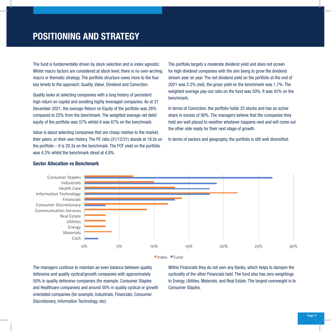## POSITIONING AND STRATEGY

The fund is fundamentally driven by stock selection and is index agnostic. Whilst macro factors are considered at stock level, there is no over-arching macro or thematic strategy. The portfolio structure owes more to the four key tenets to the approach: Quality, Value, Dividend and Conviction.

Quality looks at selecting companies with a long history of persistent high return on capital and avoiding highly leveraged companies. As at 31 December 2021, the average Return on Equity of the portfolio was 28% compared to 22% from the benchmark. The weighted average net debt/ equity of the portfolio was 57% whilst it was 67% on the benchmark.

Value is about selecting companies that are cheap relative to the market, their peers, or their own history. The PE ratio (31/12/21) stands at 18.0x on the portfolio – it is 20.3x on the benchmark. The FCF yield on the portfolio was 4.3% whilst the benchmark stood at 4.8%.

The portfolio targets a moderate dividend yield and does not screen for high dividend companies with the aim being to grow the dividend stream year on year. The net dividend yield on the portfolio at the end of 2021 was 2.2% (net), the gross yield on the benchmark was 1.7%. The weighted average pay-out ratio on the fund was 50%. It was 42% on the benchmark.

In terms of Conviction, the portfolio holds 35 stocks and has an active share in excess of 90%. The managers believe that the companies they hold are well placed to weather whatever happens next and will come out the other side ready for their next stage of growth.

In terms of sectors and geography, the portfolio is still well diversified:



#### Sector Allocation vs Benchmark

 $Index$  Fund

The managers continue to maintain an even balance between quality defensive and quality cyclical/growth companies with approximately 50% in quality defensive companies (for example, Consumer Staples and Healthcare companies) and around 50% in quality cyclical or growth orientated companies (for example, Industrials, Financials, Consumer Discretionary, Information Technology, etc).

Within Financials they do not own any Banks, which helps to dampen the cyclicality of the other Financials held. The fund also has zero weightings to Energy, Utilities, Materials, and Real Estate. The largest overweight is to Consumer Staples.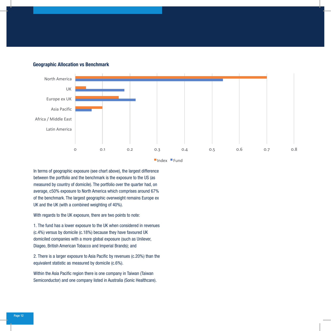

#### Geographic Allocation vs Benchmark



In terms of geographic exposure (see chart above), the largest difference between the portfolio and the benchmark is the exposure to the US (as measured by country of domicile). The portfolio over the quarter had, on average, c50% exposure to North America which comprises around 67% of the benchmark. The largest geographic overweight remains Europe ex UK and the UK (with a combined weighting of 40%).

With regards to the UK exposure, there are two points to note:

1. The fund has a lower exposure to the UK when considered in revenues (c.4%) versus by domicile (c.18%) because they have favoured UK domiciled companies with a more global exposure (such as Unilever, Diageo, British American Tobacco and Imperial Brands); and

2. There is a larger exposure to Asia Pacific by revenues (c.20%) than the equivalent statistic as measured by domicile (c.6%).

Within the Asia Pacific region there is one company in Taiwan (Taiwan Semiconductor) and one company listed in Australia (Sonic Healthcare).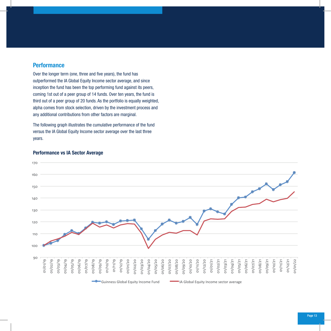#### **Performance**

Over the longer term (one, three and five years), the fund has outperformed the IA Global Equity Income sector average, and since inception the fund has been the top performing fund against its peers, coming 1st out of a peer group of 14 funds. Over ten years, the fund is third out of a peer group of 20 funds. As the portfolio is equally weighted, alpha comes from stock selection, driven by the investment process and any additional contributions from other factors are marginal.

The following graph illustrates the cumulative performance of the fund versus the IA Global Equity Income sector average over the last three years.

#### Performance vs IA Sector Average

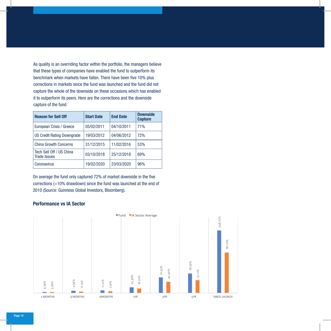As quality is an overriding factor within the portfolio, the managers believe that these types of companies have enabled the fund to outperform its benchmark when markets have fallen. There have been five 10% plus corrections in markets since the fund was launched and the fund did not capture the whole of the downside on these occasions which has enabled it to outperform its peers. Here are the corrections and the downside capture of the fund:

| <b>Reason for Sell Off</b>                      | <b>Start Date</b> | <b>End Date</b> | <b>Downside</b><br><b>Capture</b> |
|-------------------------------------------------|-------------------|-----------------|-----------------------------------|
| European Crisis / Greece                        | 05/02/2011        | 04/10/2011      | 71%                               |
| <b>US Credit Rating Downgrade</b>               | 19/03/2012        | 04/06/2012      | 72%                               |
| <b>China Growth Concerns</b>                    | 31/12/2015        | 11/02/2016      | 53%                               |
| Tech Sell Off / US China<br><b>Trade Issues</b> | 03/10/2018        | 25/12/2018      | 69%                               |
| Coronavirus                                     | 19/02/2020        | 23/03/2020      | 96%                               |

On average the fund only captured 72% of market downside in the five corrections (>10% drawdown) since the fund was launched at the end of 2010 (Source: Guinness Global Investors, Bloomberg).

#### Performance vs IA Sector

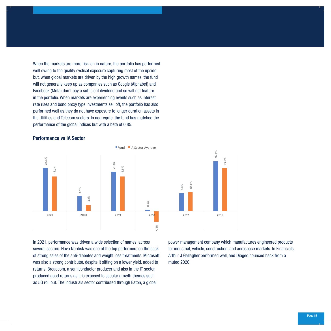When the markets are more risk-on in nature, the portfolio has performed well owing to the quality cyclical exposure capturing most of the upside but, when global markets are driven by the high growth names, the fund will not generally keep up as companies such as Google (Alphabet) and Facebook (Meta) don't pay a sufficient dividend and so will not feature in the portfolio. When markets are experiencing events such as interest rate rises and bond proxy type investments sell off, the portfolio has also performed well as they do not have exposure to longer duration assets in the Utilities and Telecom sectors. In aggregate, the fund has matched the performance of the global indices but with a beta of 0.85.



#### Performance vs IA Sector

In 2021, performance was driven a wide selection of names, across several sectors. Novo Nordisk was one of the top performers on the back of strong sales of the anti-diabetes and weight loss treatments. Microsoft was also a strong contributor, despite it sitting on a lower yield, added to returns. Broadcom, a semiconductor producer and also in the IT sector, produced good returns as it is exposed to secular growth themes such as 5G roll out. The Industrials sector contributed through Eaton, a global

power management company which manufactures engineered products for industrial, vehicle, construction, and aerospace markets. In Financials, Arthur J Gallagher performed well, and Diageo bounced back from a muted 2020.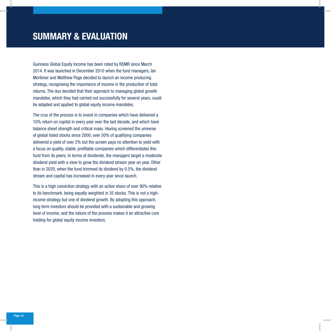### SUMMARY & EVALUATION

Guinness Global Equity Income has been rated by RSMR since March 2014. It was launched in December 2010 when the fund managers, Ian Mortimer and Matthew Page decided to launch an income producing strategy, recognising the importance of income in the production of total returns. The duo decided that their approach to managing global growth mandates, which they had carried out successfully for several years, could be adapted and applied to global equity income mandates.

The crux of the process is to invest in companies which have delivered a 10% return on capital in every year over the last decade, and which have balance sheet strength and critical mass. Having screened the universe of global listed stocks since 2000, over 50% of qualifying companies delivered a yield of over 2% but the screen pays no attention to yield with a focus on quality, stable, profitable companies which differentiates this fund from its peers. In terms of dividends, the managers target a moderate dividend yield with a view to grow the dividend stream year on year. Other than in 2020, when the fund trimmed its dividend by 0.5%, the dividend stream and capital has increased in every year since launch.

This is a high conviction strategy with an active share of over 90% relative to its benchmark, being equally weighted in 35 stocks. This is not a highincome strategy but one of dividend growth. By adopting this approach, long term investors should be provided with a sustainable and growing level of income, and the nature of the process makes it an attractive core holding for global equity income investors.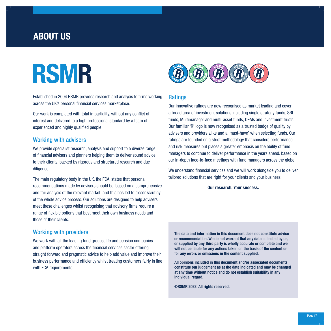## ABOUT US

## **RSMR**

Established in 2004 RSMR provides research and analysis to firms working across the UK's personal financial services marketplace.

Our work is completed with total impartiality, without any conflict of interest and delivered to a high professional standard by a team of experienced and highly qualified people.

#### Working with advisers

We provide specialist research, analysis and support to a diverse range of financial advisers and planners helping them to deliver sound advice to their clients, backed by rigorous and structured research and due diligence.

The main regulatory body in the UK, the FCA, states that personal recommendations made by advisers should be 'based on a comprehensive and fair analysis of the relevant market' and this has led to closer scrutiny of the whole advice process. Our solutions are designed to help advisers meet these challenges whilst recognising that advisory firms require a range of flexible options that best meet their own business needs and those of their clients.

#### Working with providers

We work with all the leading fund groups, life and pension companies and platform operators across the financial services sector offering straight forward and pragmatic advice to help add value and improve their business performance and efficiency whilst treating customers fairly in line with FCA requirements.



#### **Ratings**

Our innovative ratings are now recognised as market leading and cover a broad area of investment solutions including single strategy funds, SRI funds, Multimanager and multi-asset funds, DFMs and investment trusts. Our familiar 'R' logo is now recognised as a trusted badge of quality by advisers and providers alike and a 'must-have' when selecting funds. Our ratings are founded on a strict methodology that considers performance and risk measures but places a greater emphasis on the ability of fund managers to continue to deliver performance in the years ahead. based on our in-depth face-to-face meetings with fund managers across the globe.

We understand financial services and we will work alongside you to deliver tailored solutions that are right for your clients and your business.

Our research. Your success.

The data and information in this document does not constitute advice or recommendation. We do not warrant that any data collected by us, or supplied by any third party is wholly accurate or complete and we will not be liable for any actions taken on the basis of the content or for any errors or omissions in the content supplied.

All opinions included in this document and/or associated documents constitute our judgement as at the date indicated and may be changed at any time without notice and do not establish suitability in any individual regard.

©RSMR 2022. All rights reserved.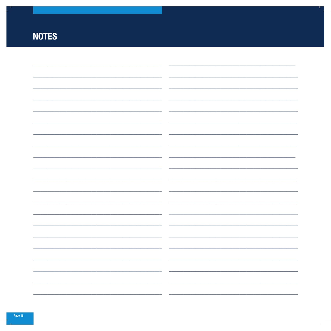## **NOTES**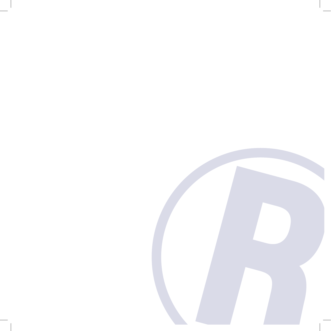